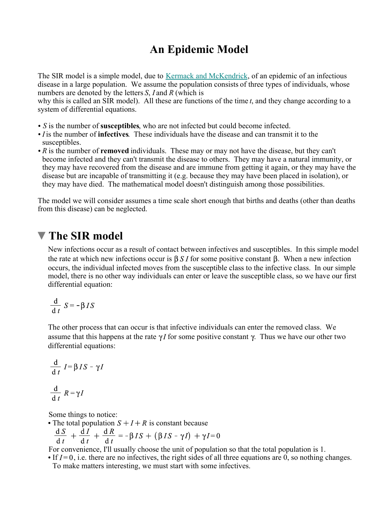## **An Epidemic Model**

The SIR model is a simple model, due to Kermack and McKendrick, of an epidemic of an infectious disease in a large population. We assume the population consists of three types of individuals, whose numbers are denoted by the letters *S*, *I* and *R* (which is

why this is called an SIR model). All these are functions of the time *t*, and they change according to a system of differential equations.

- *S* is the number of **susceptibles**, who are not infected but could become infected.
- *I* is the number of **infectives**. These individuals have the disease and can transmit it to the susceptibles.
- *R* is the number of **removed** individuals. These may or may not have the disease, but they can't become infected and they can't transmit the disease to others. They may have a natural immunity, or they may have recovered from the disease and are immune from getting it again, or they may have the disease but are incapable of transmitting it (e.g. because they may have been placed in isolation), or they may have died. The mathematical model doesn't distinguish among those possibilities.

The model we will consider assumes a time scale short enough that births and deaths (other than deaths from this disease) can be neglected.

### **The SIR model**

New infections occur as a result of contact between infectives and susceptibles. In this simple model the rate at which new infections occur is  $\beta S I$  for some positive constant  $\beta$ . When a new infection occurs, the individual infected moves from the susceptible class to the infective class. In our simple model, there is no other way individuals can enter or leave the susceptible class, so we have our first differential equation:

$$
\frac{\mathrm{d}}{\mathrm{d}t} S = -\beta I S
$$

The other process that can occur is that infective individuals can enter the removed class. We assume that this happens at the rate  $\gamma I$  for some positive constant  $\gamma$ . Thus we have our other two differential equations:

$$
\frac{d}{dt} I = \beta I S - \gamma I
$$

$$
\frac{d}{dt} R = \gamma I
$$

Some things to notice:

• The total population  $S + I + R$  is constant because<br>  $\frac{dS}{dt} + \frac{dI}{dt} + \frac{dR}{dt} = -\beta IS + (\beta IS - \gamma I) + \gamma I = 0$ 

For convenience, I'll usually choose the unit of population so that the total population is 1.

If  $I=0$ , i.e. there are no infectives, the right sides of all three equations are 0, so nothing changes. To make matters interesting, we must start with some infectives.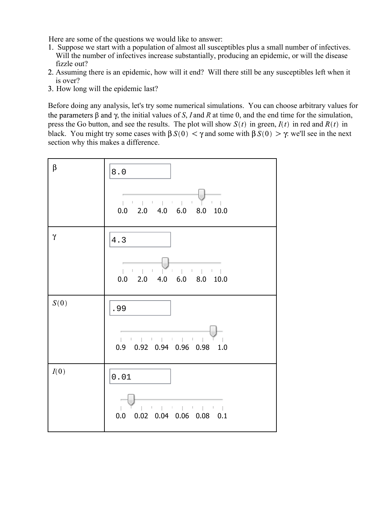Here are some of the questions we would like to answer:

- 1. Suppose we start with a population of almost all susceptibles plus a small number of infectives. Will the number of infectives increase substantially, producing an epidemic, or will the disease fizzle out?
- 2. Assuming there is an epidemic, how will it end? Will there still be any susceptibles left when it is over?
- 3. How long will the epidemic last?

Before doing any analysis, let's try some numerical simulations. You can choose arbitrary values for the parameters  $\beta$  and  $\gamma$ , the initial values of *S*, *I* and *R* at time 0, and the end time for the simulation, press the Go button, and see the results. The plot will show  $S(t)$  in green,  $I(t)$  in red and  $R(t)$  in black. You might try some cases with  $\beta S(0) < \gamma$  and some with  $\beta S(0) > \gamma$ : we'll see in the next section why this makes a difference.

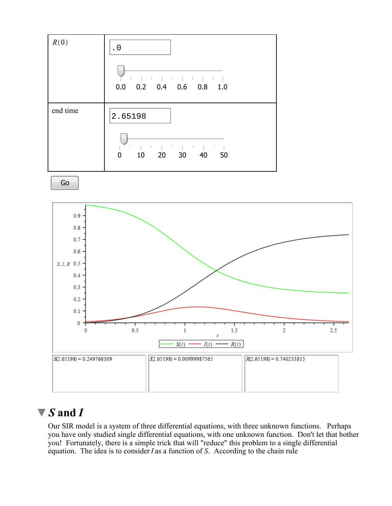

# *S* **and** *I*

Our SIR model is a system of three differential equations, with three unknown functions. Perhaps you have only studied single differential equations, with one unknown function. Don't let that bother you! Fortunately, there is a simple trick that will "reduce" this problem to a single differential equation. The idea is to consider *I* as a function of *S*. According to the chain rule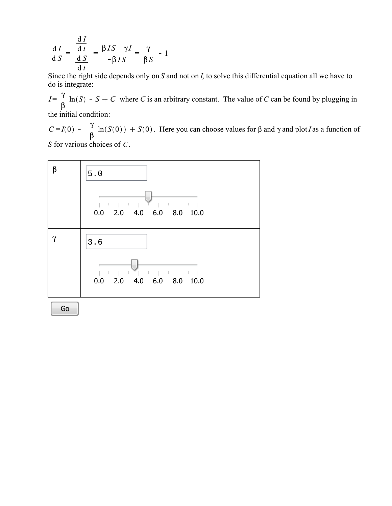$$
\frac{dI}{dS} = \frac{\frac{dI}{dt}}{\frac{dS}{dt}} = \frac{\beta IS - \gamma I}{-\beta IS} = \frac{\gamma}{\beta S} - 1
$$

Since the right side depends only on *S* and not on *I*, to solve this differential equation all we have to do is integrate:

 $I = \frac{\gamma}{\beta} \ln(S) - S + C$  where *C* is an arbitrary constant. The value of *C* can be found by plugging in the initial condition:

 $C = I(0) - \frac{\gamma}{\beta} \ln(S(0)) + S(0)$ . Here you can choose values for  $\beta$  and  $\gamma$  and plot *I* as a function of

*S* for various choices of *C*.



Go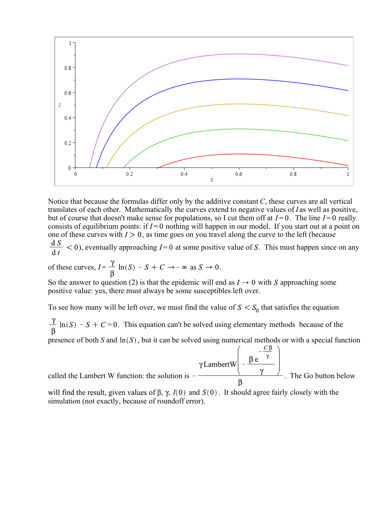

Notice that because the formulas differ only by the additive constant *C*, these curves are all vertical translates of each other. Mathematically the curves extend to negative values of *I* as well as positive, but of course that doesn't make sense for populations, so I cut them off at  $I=0$ . The line  $I=0$  really consists of equilibrium points: if  $I=0$  nothing will happen in our model. If you start out at a point on one of these curves with  $I > 0$ , as time goes on you travel along the curve to the left (because

 $\frac{dS}{dt}$  < 0), eventually approaching I=0 at some positive value of S. This must happen since on any

of these curves,  $I = \frac{\gamma}{\beta} \ln(S) - S + C \rightarrow -\infty$  as  $S \rightarrow 0$ .

So the answer to question (2) is that the epidemic will end as  $I \rightarrow 0$  with S approaching some positive value: yes, there must always be some susceptibles left over.

To see how many will be left over, we must find the value of  $S < S_0$  that satisfies the equation

 $\frac{\gamma}{\beta}$  ln(S) - S + C = 0. This equation can't be solved using elementary methods because of the

presence of both *S* and  $\ln(S)$ , but it can be solved using numerical methods or with a special function

called the Lambert W function: the solution is  $-\frac{\beta e^{-\frac{\pi}{\gamma}}}{\beta}$ . The Go button below

will find the result, given values of  $\beta$ ,  $\gamma$ ,  $I(0)$  and  $S(0)$ . It should agree fairly closely with the simulation (not exactly, because of roundoff error).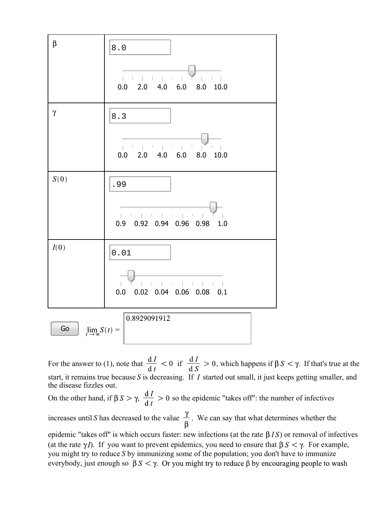

For the answer to (1), note that  $\frac{dI}{dt} < 0$  if  $\frac{dI}{dS} > 0$ , which happens if  $\beta S < \gamma$ . If that's true at the start, it remains true because *S* is decreasing. If *I* started out small, it just keeps getting smaller, and the disease fizzles out.

On the other hand, if  $\beta S > \gamma$ ,  $\frac{dI}{dt} > 0$  so the epidemic "takes off": the number of infectives

increases until *S* has decreased to the value  $\frac{\gamma}{\beta}$ . We can say that what determines whether the

epidemic "takes off" is which occurs faster: new infections (at the rate  $\beta I S$ ) or removal of infectives (at the rate  $\gamma I$ ). If you want to prevent epidemics, you need to ensure that  $\beta S \le \gamma$ . For example, you might try to reduce *S* by immunizing some of the population; you don't have to immunize everybody, just enough so  $\beta S < \gamma$ . Or you might try to reduce  $\beta$  by encouraging people to wash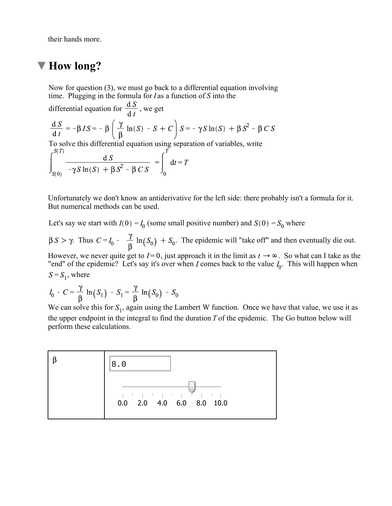their hands more.

# **How long?**

Now for question (3), we must go back to a differential equation involving time. Plugging in the formula for *I* as a function of *S* into the

differential equation for  $\frac{dS}{dt}$ , we get  $\frac{\mathrm{d} S}{\mathrm{d} t} = -\beta I S = -\beta \left( \frac{\gamma}{\beta} \ln(S) - S + C \right) S = -\gamma S \ln(S) + \beta S^2 - \beta C S$ 

To solve this differential equation using separation of variables, write

$$
\int_{S(0)}^{S(T)} \frac{dS}{-\gamma S \ln(S) + \beta S^2 - \beta CS} = \int_0^T dt = T
$$

Unfortunately we don't know an antiderivative for the left side: there probably isn't a formula for it. But numerical methods can be used.

Let's say we start with  $I(0) = I_0$  (some small positive number) and  $S(0) = S_0$  where

 $\beta S > \gamma$ . Thus  $C = I_0 - \frac{\gamma}{\beta} \ln(S_0) + S_0$ . The epidemic will "take off" and then eventually die out.

However, we never quite get to  $I=0$ , just approach it in the limit as  $t \to \infty$ . So what can I take as the "end" of the epidemic? Let's say it's over when I comes back to the value  $I_0$ . This will happen when  $S = S_1$ , where

$$
I_0 - C = \frac{\gamma}{\beta} \ln(S_1) - S_1 = \frac{\gamma}{\beta} \ln(S_0) - S_0
$$

We can solve this for  $S_1$ , again using the Lambert W function. Once we have that value, we use it as the upper endpoint in the integral to find the duration *T* of the epidemic. The Go button below will perform these calculations.

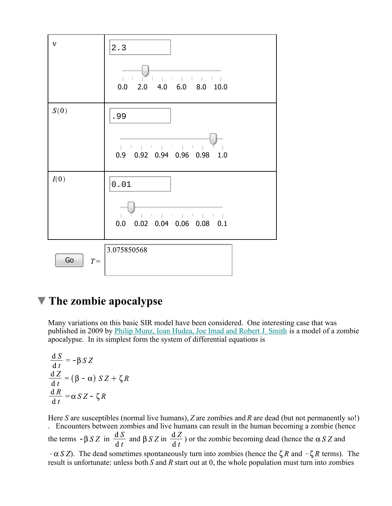

#### **The zombie apocalypse**

Many variations on this basic SIR model have been considered. One interesting case that was published in 2009 by Philip Munz, Ioan Hudea, Joe Imad and Robert J. Smith is a model of a zombie apocalypse. In its simplest form the system of differential equations is

$$
\frac{dS}{dt} = -\beta SZ
$$
  

$$
\frac{dZ}{dt} = (\beta - \alpha) SZ + \zeta R
$$
  

$$
\frac{dR}{dt} = \alpha SZ - \zeta R
$$

Here *S* are susceptibles (normal live humans), *Z* are zombies and *R* are dead (but not permanently so!) . Encounters between zombies and live humans can result in the human becoming a zombie (hence the terms  $-\beta S Z$  in  $\frac{dS}{dt}$  and  $\beta S Z$  in  $\frac{dZ}{dt}$ ) or the zombie becoming dead (hence the  $\alpha S Z$  and  $-\alpha S Z$ ). The dead sometimes spontaneously turn into zombies (hence the  $\zeta R$  and  $-\zeta R$  terms). The result is unfortunate: unless both *S* and *R* start out at 0, the whole population must turn into zombies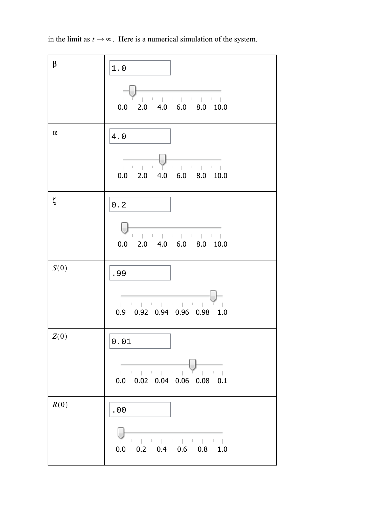in the limit as  $t \to \infty$ . Here is a numerical simulation of the system.